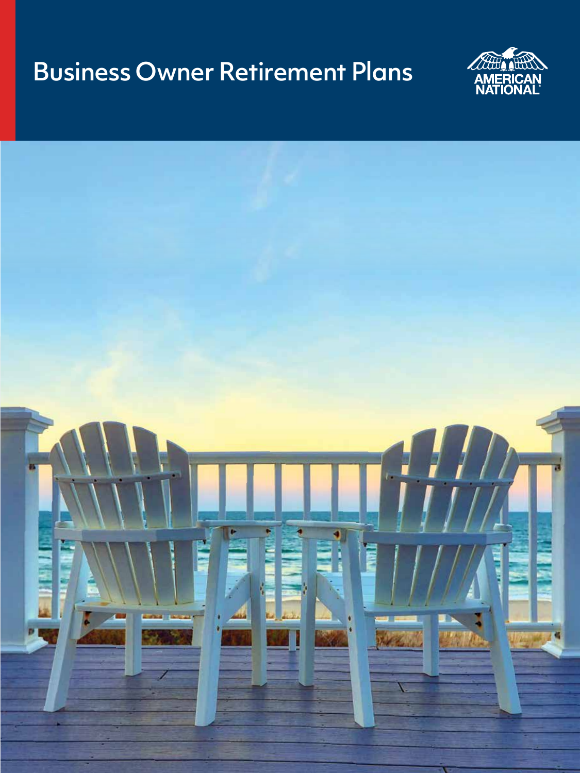# Business Owner Retirement Plans



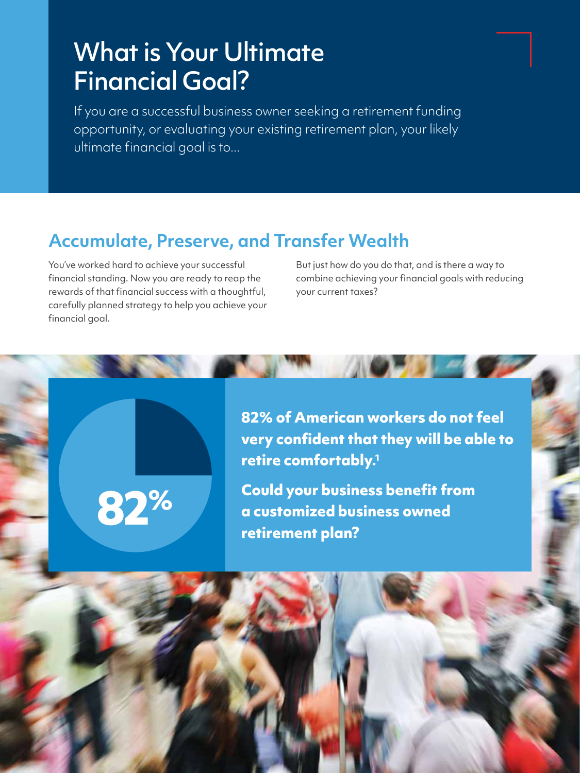## What is Your Ultimate Financial Goal?

If you are a successful business owner seeking a retirement funding opportunity, or evaluating your existing retirement plan, your likely ultimate financial goal is to...

### **Accumulate, Preserve, and Transfer Wealth**

You've worked hard to achieve your successful financial standing. Now you are ready to reap the rewards of that financial success with a thoughtful, carefully planned strategy to help you achieve your financial goal.

**82%**

But just how do you do that, and is there a way to combine achieving your financial goals with reducing your current taxes?

**82% of American workers do not feel very confident that they will be able to retire comfortably.<sup>1</sup>**

**Could your business benefit from a customized business owned retirement plan?**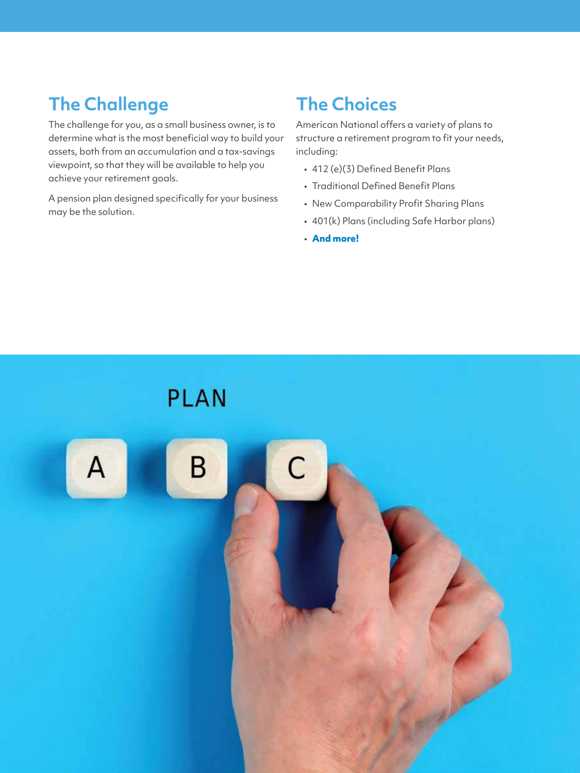### **The Challenge**

The challenge for you, as a small business owner, is to determine what is the most beneficial way to build your assets, both from an accumulation and a tax-savings viewpoint, so that they will be available to help you achieve your retirement goals.

A pension plan designed specifically for your business may be the solution.

### **The Choices**

American National offers a variety of plans to structure a retirement program to fit your needs, including:

- 412 (e)(3) Defined Benefit Plans
- Traditional Defined Benefit Plans
- New Comparability Profit Sharing Plans
- 401(k) Plans (including Safe Harbor plans)
- **And more!**

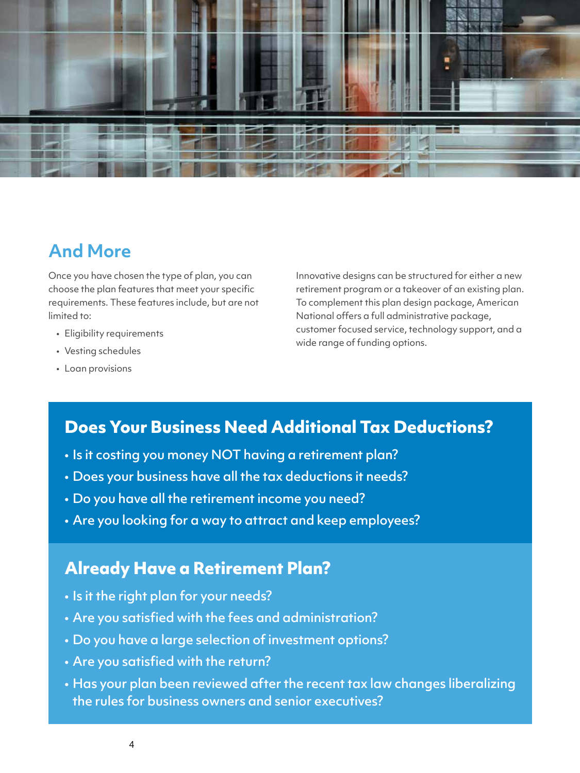

#### **And More**

Once you have chosen the type of plan, you can choose the plan features that meet your specific requirements. These features include, but are not limited to:

- Eligibility requirements
- Vesting schedules
- Loan provisions

Innovative designs can be structured for either a new retirement program or a takeover of an existing plan. To complement this plan design package, American National offers a full administrative package, customer focused service, technology support, and a wide range of funding options.

#### **Does Your Business Need Additional Tax Deductions?**

- Is it costing you money NOT having a retirement plan?
- Does your business have all the tax deductions it needs?
- Do you have all the retirement income you need?
- Are you looking for a way to attract and keep employees?

#### **Already Have a Retirement Plan?**

- Is it the right plan for your needs?
- Are you satisfied with the fees and administration?
- Do you have a large selection of investment options?
- Are you satisfied with the return?
- Has your plan been reviewed after the recent tax law changes liberalizing the rules for business owners and senior executives?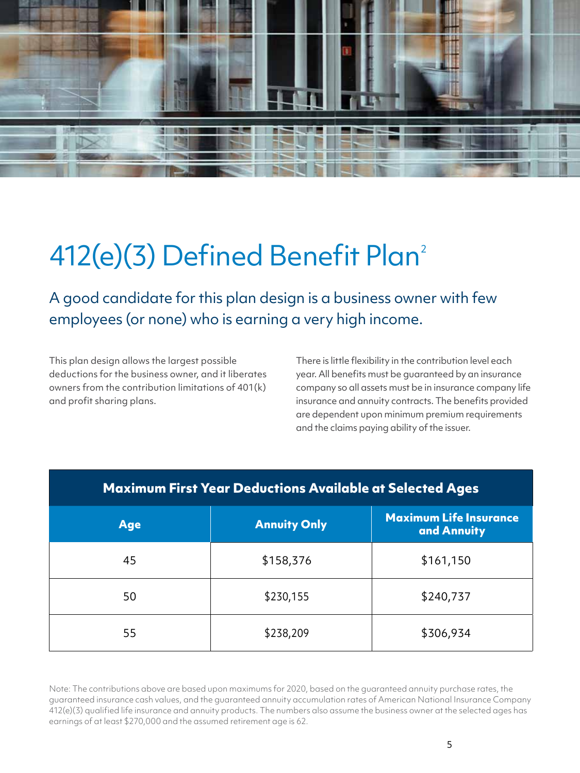

# 412(e)(3) Defined Benefit Plan<sup>2</sup>

A good candidate for this plan design is a business owner with few employees (or none) who is earning a very high income.

This plan design allows the largest possible deductions for the business owner, and it liberates owners from the contribution limitations of 401(k) and profit sharing plans.

There is little flexibility in the contribution level each year. All benefits must be guaranteed by an insurance company so all assets must be in insurance company life insurance and annuity contracts. The benefits provided are dependent upon minimum premium requirements and the claims paying ability of the issuer.

| <b>Maximum First Year Deductions Available at Selected Ages</b> |                     |                                              |  |  |  |  |
|-----------------------------------------------------------------|---------------------|----------------------------------------------|--|--|--|--|
| <b>Age</b>                                                      | <b>Annuity Only</b> | <b>Maximum Life Insurance</b><br>and Annuity |  |  |  |  |
| 45                                                              | \$158,376           | \$161,150                                    |  |  |  |  |
| 50                                                              | \$230,155           | \$240,737                                    |  |  |  |  |
| 55                                                              | \$238,209           | \$306,934                                    |  |  |  |  |

Note: The contributions above are based upon maximums for 2020, based on the guaranteed annuity purchase rates, the guaranteed insurance cash values, and the guaranteed annuity accumulation rates of American National Insurance Company 412(e)(3) qualified life insurance and annuity products. The numbers also assume the business owner at the selected ages has earnings of at least \$270,000 and the assumed retirement age is 62.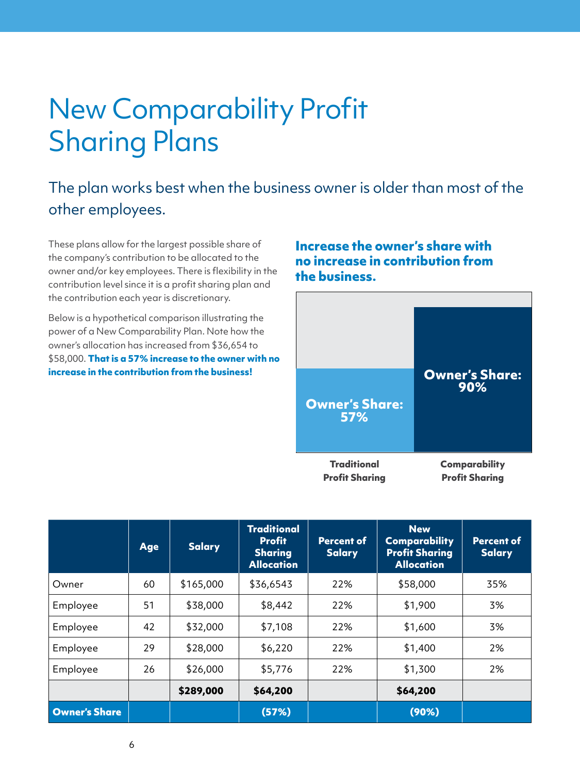# New Comparability Profit Sharing Plans

#### The plan works best when the business owner is older than most of the other employees.

These plans allow for the largest possible share of the company's contribution to be allocated to the owner and/or key employees. There is flexibility in the contribution level since it is a profit sharing plan and the contribution each year is discretionary.

Below is a hypothetical comparison illustrating the power of a New Comparability Plan. Note how the owner's allocation has increased from \$36,654 to \$58,000. **That is a 57% increase to the owner with no increase in the contribution from the business!**

#### **Increase the owner's share with no increase in contribution from the business.**



|                      | Age | <b>Salary</b> | <b>Traditional</b><br><b>Profit</b><br><b>Sharing</b><br><b>Allocation</b> | <b>Percent of</b><br><b>Salary</b> | <b>New</b><br><b>Comparability</b><br><b>Profit Sharing</b><br><b>Allocation</b> | <b>Percent of</b><br><b>Salary</b> |
|----------------------|-----|---------------|----------------------------------------------------------------------------|------------------------------------|----------------------------------------------------------------------------------|------------------------------------|
| Owner                | 60  | \$165,000     | \$36,6543                                                                  | 22%                                | \$58,000                                                                         | 35%                                |
| Employee             | 51  | \$38,000      | \$8,442                                                                    | 22%                                | \$1,900                                                                          | 3%                                 |
| Employee             | 42  | \$32,000      | \$7,108                                                                    | 22%                                | \$1,600                                                                          | 3%                                 |
| Employee             | 29  | \$28,000      | \$6,220                                                                    | 22%                                | \$1,400                                                                          | 2%                                 |
| Employee             | 26  | \$26,000      | \$5,776                                                                    | 22%                                | \$1,300                                                                          | 2%                                 |
|                      |     | \$289,000     | \$64,200                                                                   |                                    | \$64,200                                                                         |                                    |
| <b>Owner's Share</b> |     |               | (57%)                                                                      |                                    | (90%)                                                                            |                                    |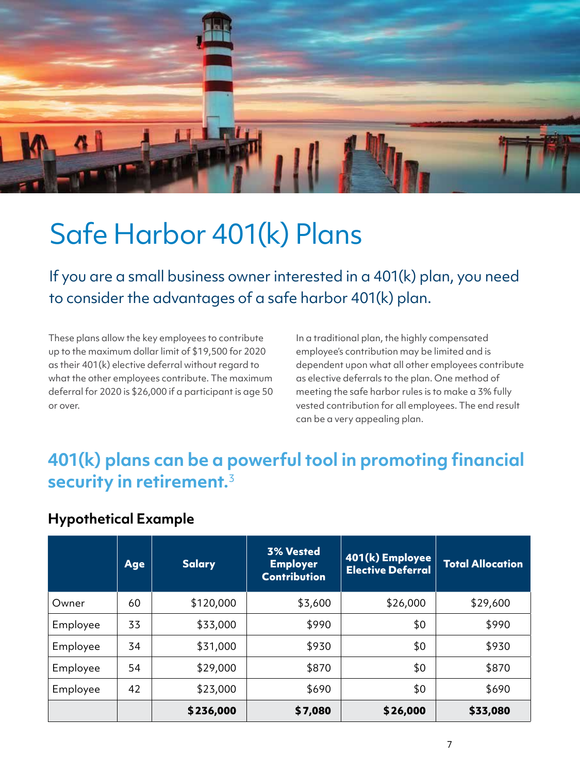

## Safe Harbor 401(k) Plans

If you are a small business owner interested in a 401(k) plan, you need to consider the advantages of a safe harbor 401(k) plan.

These plans allow the key employees to contribute up to the maximum dollar limit of \$19,500 for 2020 as their 401(k) elective deferral without regard to what the other employees contribute. The maximum deferral for 2020 is \$26,000 if a participant is age 50 or over.

In a traditional plan, the highly compensated employee's contribution may be limited and is dependent upon what all other employees contribute as elective deferrals to the plan. One method of meeting the safe harbor rules is to make a 3% fully vested contribution for all employees. The end result can be a very appealing plan.

### **401(k) plans can be a powerful tool in promoting financial security in retirement.**<sup>3</sup>

#### **Hypothetical Example**

|          | <b>Age</b> | <b>Salary</b> | <b>3% Vested</b><br><b>Employer</b><br><b>Contribution</b> | 401(k) Employee<br><b>Elective Deferral</b> | <b>Total Allocation</b> |
|----------|------------|---------------|------------------------------------------------------------|---------------------------------------------|-------------------------|
| Owner    | 60         | \$120,000     | \$3,600                                                    | \$26,000                                    | \$29,600                |
| Employee | 33         | \$33,000      | \$990                                                      | \$0                                         | \$990                   |
| Employee | 34         | \$31,000      | \$930                                                      | \$0                                         | \$930                   |
| Employee | 54         | \$29,000      | \$870                                                      | \$0                                         | \$870                   |
| Employee | 42         | \$23,000      | \$690                                                      | \$0                                         | \$690                   |
|          |            | \$236,000     | \$7,080                                                    | \$26,000                                    | \$33,080                |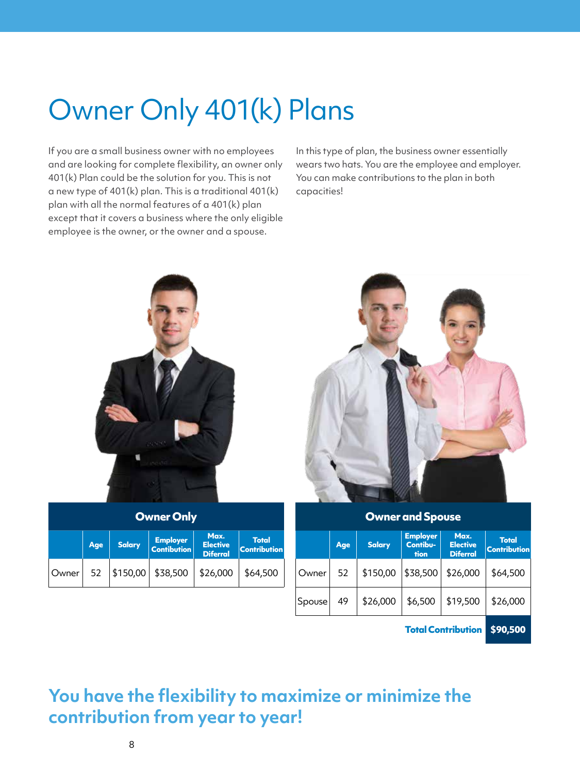# Owner Only 401(k) Plans

If you are a small business owner with no employees and are looking for complete flexibility, an owner only 401(k) Plan could be the solution for you. This is not a new type of 401(k) plan. This is a traditional 401(k) plan with all the normal features of a 401(k) plan except that it covers a business where the only eligible employee is the owner, or the owner and a spouse.

In this type of plan, the business owner essentially wears two hats. You are the employee and employer. You can make contributions to the plan in both capacities!



**Total Contribution \$90,500**

#### **You have the flexibility to maximize or minimize the contribution from year to year!**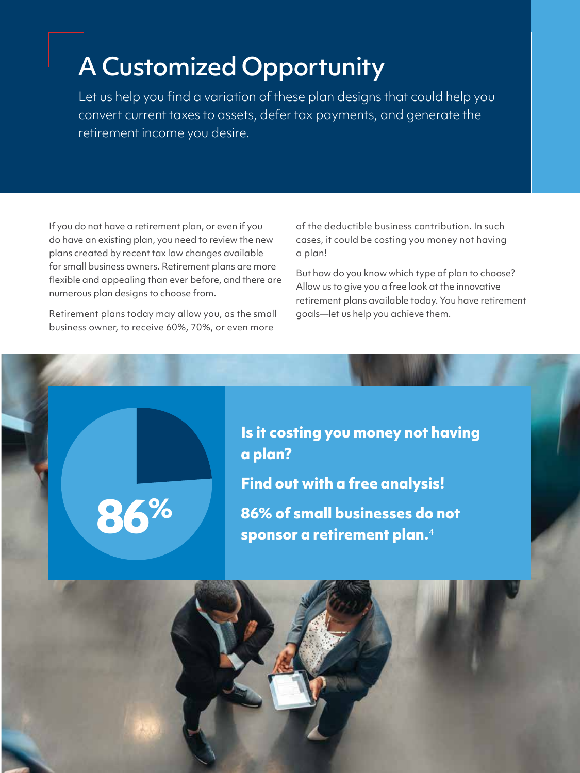### A Customized Opportunity

Let us help you find a variation of these plan designs that could help you convert current taxes to assets, defer tax payments, and generate the retirement income you desire.

If you do not have a retirement plan, or even if you do have an existing plan, you need to review the new plans created by recent tax law changes available for small business owners. Retirement plans are more flexible and appealing than ever before, and there are numerous plan designs to choose from.

Retirement plans today may allow you, as the small business owner, to receive 60%, 70%, or even more

**86%**

of the deductible business contribution. In such cases, it could be costing you money not having a plan!

But how do you know which type of plan to choose? Allow us to give you a free look at the innovative retirement plans available today. You have retirement goals—let us help you achieve them.

**Is it costing you money not having a plan? Find out with a free analysis! 86% of small businesses do not sponsor a retirement plan.**<sup>4</sup>

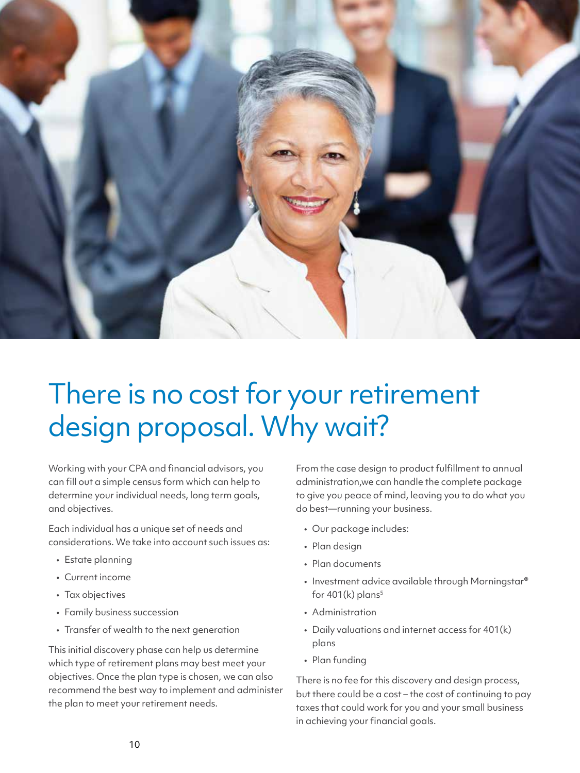

# There is no cost for your retirement design proposal. Why wait?

Working with your CPA and financial advisors, you can fill out a simple census form which can help to determine your individual needs, long term goals, and objectives.

Each individual has a unique set of needs and considerations. We take into account such issues as:

- Estate planning
- Current income
- Tax objectives
- Family business succession
- Transfer of wealth to the next generation

This initial discovery phase can help us determine which type of retirement plans may best meet your objectives. Once the plan type is chosen, we can also recommend the best way to implement and administer the plan to meet your retirement needs.

From the case design to product fulfillment to annual administration,we can handle the complete package to give you peace of mind, leaving you to do what you do best—running your business.

- Our package includes:
- Plan design
- Plan documents
- Investment advice available through Morningstar® for  $401(k)$  plans<sup>5</sup>
- Administration
- Daily valuations and internet access for 401(k) plans
- Plan funding

There is no fee for this discovery and design process, but there could be a cost – the cost of continuing to pay taxes that could work for you and your small business in achieving your financial goals.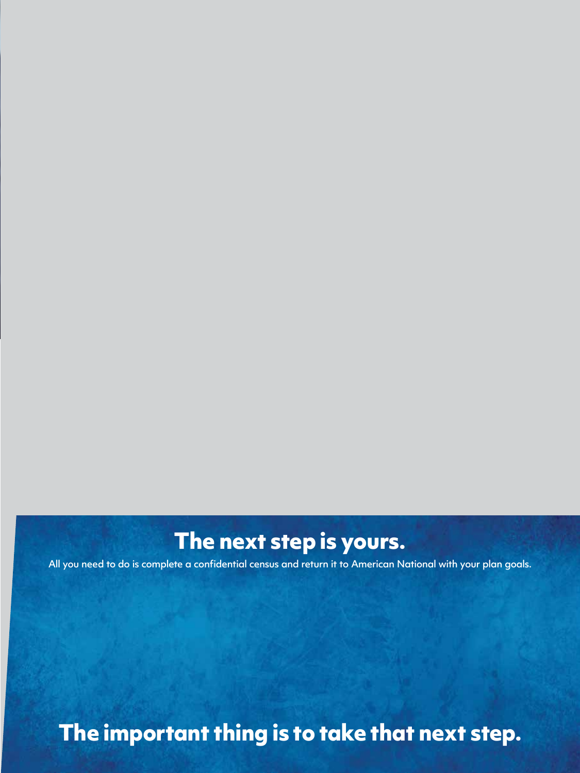### **The next step is yours.**

All you need to do is complete a confidential census and return it to American National with your plan goals.

### **The important thing is to take that next step.**